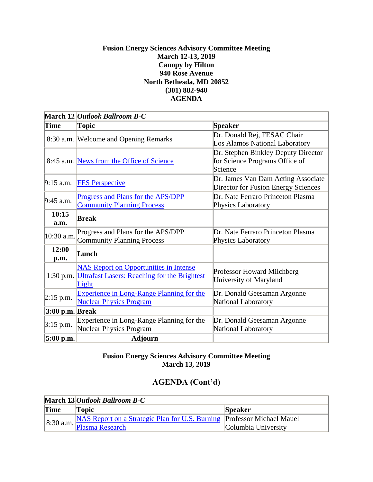## **Fusion Energy Sciences Advisory Committee Meeting March 12-13, 2019 Canopy by Hilton 940 Rose Avenue North Bethesda, MD 20852 (301) 882-940 AGENDA**

|                 | March 12 Outlook Ballroom B-C                                                                                 |                                                                                  |  |
|-----------------|---------------------------------------------------------------------------------------------------------------|----------------------------------------------------------------------------------|--|
| <b>Time</b>     | <b>Topic</b>                                                                                                  | <b>Speaker</b>                                                                   |  |
|                 | 8:30 a.m. Welcome and Opening Remarks                                                                         | Dr. Donald Rej, FESAC Chair<br>Los Alamos National Laboratory                    |  |
|                 | 8:45 a.m. News from the Office of Science                                                                     | Dr. Stephen Binkley Deputy Director<br>for Science Programs Office of<br>Science |  |
| $9:15$ a.m.     | <b>FES Perspective</b>                                                                                        | Dr. James Van Dam Acting Associate<br>Director for Fusion Energy Sciences        |  |
| 9:45 a.m.       | Progress and Plans for the APS/DPP                                                                            | Dr. Nate Ferraro Princeton Plasma                                                |  |
|                 | <b>Community Planning Process</b>                                                                             | Physics Laboratory                                                               |  |
| 10:15<br>a.m.   | Break                                                                                                         |                                                                                  |  |
| 10:30 a.m.      | Progress and Plans for the APS/DPP<br><b>Community Planning Process</b>                                       | Dr. Nate Ferraro Princeton Plasma<br>Physics Laboratory                          |  |
| 12:00<br>p.m.   | Lunch                                                                                                         |                                                                                  |  |
| $1:30$ p.m.     | <b>NAS Report on Opportunities in Intense</b><br><b>Ultrafast Lasers: Reaching for the Brightest</b><br>Light | Professor Howard Milchberg<br>University of Maryland                             |  |
| $2:15$ p.m.     | <b>Experience in Long-Range Planning for the</b><br><b>Nuclear Physics Program</b>                            | Dr. Donald Geesaman Argonne<br>National Laboratory                               |  |
| 3:00 p.m. Break |                                                                                                               |                                                                                  |  |
| $3:15$ p.m.     | Experience in Long-Range Planning for the<br><b>Nuclear Physics Program</b>                                   | Dr. Donald Geesaman Argonne<br>National Laboratory                               |  |
| 5:00 p.m.       | <b>Adjourn</b>                                                                                                |                                                                                  |  |

## **Fusion Energy Sciences Advisory Committee Meeting March 13, 2019**

## **AGENDA (Cont'd)**

|             | March 13 Outlook Ballroom B-C                                                                            |                |  |
|-------------|----------------------------------------------------------------------------------------------------------|----------------|--|
| <b>Time</b> | Topic                                                                                                    | <b>Speaker</b> |  |
|             | 8:30 a.m. NAS Report on a Strategic Plan for U.S. Burning Professor Michael Mauel<br>Columbia University |                |  |
|             |                                                                                                          |                |  |